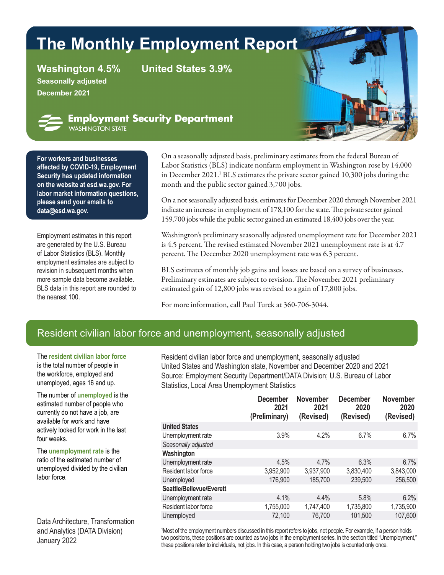# **The Monthly Employment Report**

**Seasonally adjusted December 2021**

**Washington 4.5% United States 3.9%**



**Employment Security Department** WASHINGTON STATE

**For workers and businesses affected by [COVID-19,](https://esd.wa.gov/newsroom/covid-19) Employment Security has updated information on the website at esd.wa.gov. For labor market information questions, please send your emails to data[@esd.wa.gov.](mailto:data%40esd.wa.gov?subject=data%40esd.wa.gov)**

Employment estimates in this report are generated by the U.S. Bureau of Labor Statistics (BLS). Monthly employment estimates are subject to revision in subsequent months when more sample data become available. BLS data in this report are rounded to the nearest 100.

On a seasonally adjusted basis, preliminary estimates from the federal Bureau of Labor Statistics (BLS) indicate nonfarm employment in Washington rose by 14,000 in December 2021.<sup>1</sup> BLS estimates the private sector gained 10,300 jobs during the month and the public sector gained 3,700 jobs.

On a not seasonally adjusted basis, estimates for December 2020 through November 2021 indicate an increase in employment of 178,100 for the state. The private sector gained 159,700 jobs while the public sector gained an estimated 18,400 jobs over the year.

Washington's preliminary seasonally adjusted unemployment rate for December 2021 is 4.5 percent. The revised estimated November 2021 unemployment rate is at 4.7 percent. The December 2020 unemployment rate was 6.3 percent.

BLS estimates of monthly job gains and losses are based on a survey of businesses. Preliminary estimates are subject to revision. The November 2021 preliminary estimated gain of 12,800 jobs was revised to a gain of 17,800 jobs.

For more information, call Paul Turek at 360-706-3044.

### Resident civilian labor force and unemployment, seasonally adjusted

The **resident civilian labor force** is the total number of people in the workforce, employed and unemployed, ages 16 and up.

The number of **unemployed** is the estimated number of people who currently do not have a job, are available for work and have actively looked for work in the last four weeks.

The **unemployment rate** is the ratio of the estimated number of unemployed divided by the civilian labor force.

Data Architecture, Transformation and Analytics (DATA Division) January 2022

Resident civilian labor force and unemployment, seasonally adjusted United States and Washington state, November and December 2020 and 2021 Source: Employment Security Department/DATA Division; U.S. Bureau of Labor Statistics, Local Area Unemployment Statistics

|                          | <b>December</b><br>2021<br>(Preliminary) | <b>November</b><br>2021<br>(Revised) | <b>December</b><br>2020<br>(Revised) | <b>November</b><br>2020<br>(Revised) |
|--------------------------|------------------------------------------|--------------------------------------|--------------------------------------|--------------------------------------|
| <b>United States</b>     |                                          |                                      |                                      |                                      |
| Unemployment rate        | 3.9%                                     | 4.2%                                 | 6.7%                                 | 6.7%                                 |
| Seasonally adjusted      |                                          |                                      |                                      |                                      |
| Washington               |                                          |                                      |                                      |                                      |
| Unemployment rate        | 4.5%                                     | 4.7%                                 | 6.3%                                 | 6.7%                                 |
| Resident labor force     | 3,952,900                                | 3,937,900                            | 3,830,400                            | 3,843,000                            |
| Unemployed               | 176,900                                  | 185,700                              | 239,500                              | 256,500                              |
| Seattle/Bellevue/Everett |                                          |                                      |                                      |                                      |
| Unemployment rate        | 4.1%                                     | 4.4%                                 | 5.8%                                 | 6.2%                                 |
| Resident labor force     | 1,755,000                                | 1,747,400                            | 1,735,800                            | 1,735,900                            |
| Unemployed               | 72,100                                   | 76,700                               | 101,500                              | 107,600                              |
|                          |                                          |                                      |                                      |                                      |

1 Most of the employment numbers discussed in this report refers to jobs, not people. For example, if a person holds two positions, these positions are counted as two jobs in the employment series. In the section titled "Unemployment," these positions refer to individuals, not jobs. In this case, a person holding two jobs is counted only once.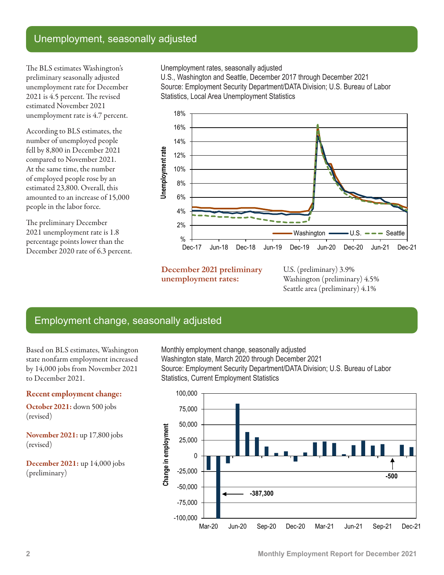### Unemployment, seasonally adjusted

The BLS estimates Washington's preliminary seasonally adjusted unemployment rate for December 2021 is 4.5 percent. The revised estimated November 2021 unemployment rate is 4.7 percent.

According to BLS estimates, the number of unemployed people fell by 8,800 in December 2021 compared to November 2021. At the same time, the number of employed people rose by an estimated 23,800. Overall, this amounted to an increase of 15,000 people in the labor force.

The preliminary December 2021 unemployment rate is 1.8 percentage points lower than the December 2020 rate of 6.3 percent. Unemployment rates, seasonally adjusted

U.S., Washington and Seattle, December 2017 through December 2021 Source: Employment Security Department/DATA Division; U.S. Bureau of Labor Statistics, Local Area Unemployment Statistics



**December 2021 preliminary unemployment rates:**

U.S. (preliminary) 3.9% Washington (preliminary) 4.5% Seattle area (preliminary) 4.1%

### Employment change, seasonally adjusted

Based on BLS estimates, Washington state nonfarm employment increased by 14,000 jobs from November 2021 to December 2021.

#### Recent employment change:

October 2021: down 500 jobs (revised)

November 2021: up 17,800 jobs (revised)

December 2021: up 14,000 jobs (preliminary)

Monthly employment change, seasonally adjusted Washington state, March 2020 through December 2021 Source: Employment Security Department/DATA Division; U.S. Bureau of Labor Statistics, Current Employment Statistics

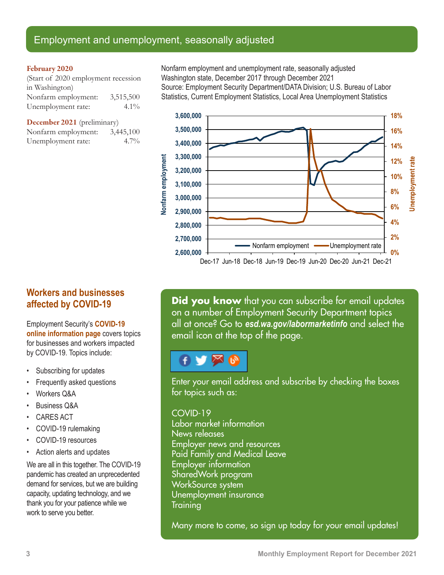### Employment and unemployment, seasonally adjusted

#### February 2020

(Start of 2020 employment recession in Washington) Nonfarm employment: 3,515,500 Unemployment rate: 4.1%

December 2021 (preliminary)

| Nonfarm employment: | 3,445,100 |
|---------------------|-----------|
| Unemployment rate:  | $4.7\%$   |

Nonfarm employment and unemployment rate, seasonally adjusted Washington state, December 2017 through December 2021 Source: Employment Security Department/DATA Division; U.S. Bureau of Labor Statistics, Current Employment Statistics, Local Area Unemployment Statistics



**Workers and businesses affected by COVID-19**

Employment Security's **[COVID-19](https://esd.wa.gov/newsroom/covid-19)  [online information page](https://esd.wa.gov/newsroom/covid-19)** covers topics for businesses and workers impacted by COVID-19. Topics include:

- Subscribing for updates
- Frequently asked questions
- Workers Q&A
- Business Q&A
- CARES ACT
- COVID-19 rulemaking
- COVID-19 resources
- Action alerts and updates

We are all in this together. The COVID-19 pandemic has created an unprecedented demand for services, but we are building capacity, updating technology, and we thank you for your patience while we work to serve you better.

**Did you know** that you can subscribe for email updates on a number of Employment Security Department topics all at once? Go to *[esd.wa.gov/labormarketinfo](http://esd.wa.gov/labormarketinfo)* and select the email icon at the top of the page.

## ⊠

Enter your email address and subscribe by checking the boxes for topics such as:

#### COVID-19

Labor market information News releases Employer news and resources Paid Family and Medical Leave Employer information SharedWork program WorkSource system Unemployment insurance **Training** 

Many more to come, so sign up today for your email updates!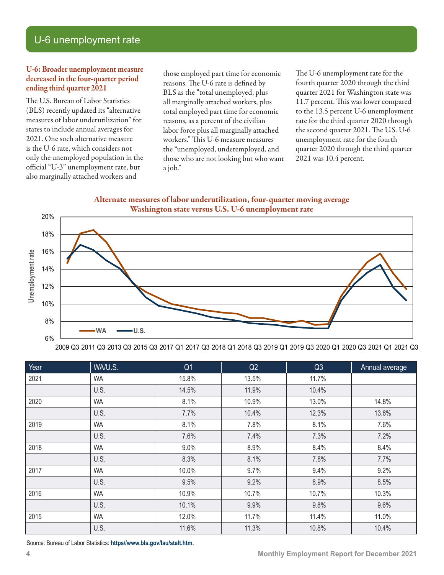### U-6 unemployment rate

#### U-6: Broader unemployment measure decreased in the four-quarter period ending third quarter 2021

The U.S. Bureau of Labor Statistics (BLS) recently updated its "alternative measures of labor underutilization" for states to include annual averages for 2021. One such alternative measure is the U-6 rate, which considers not only the unemployed population in the official "U-3" unemployment rate, but also marginally attached workers and

those employed part time for economic reasons. The U-6 rate is defined by BLS as the "total unemployed, plus all marginally attached workers, plus total employed part time for economic reasons, as a percent of the civilian labor force plus all marginally attached workers." This U-6 measure measures the "unemployed, underemployed, and those who are not looking but who want a job."

The U-6 unemployment rate for the fourth quarter 2020 through the third quarter 2021 for Washington state was 11.7 percent. This was lower compared to the 13.5 percent U-6 unemployment rate for the third quarter 2020 through the second quarter 2021. The U.S. U-6 unemployment rate for the fourth quarter 2020 through the third quarter 2021 was 10.4 percent.





2009 Q3 2011 Q3 2013 Q3 2015 Q3 2017 Q1 2017 Q3 2018 Q1 2018 Q3 2019 Q1 2019 Q3 2020 Q1 2020 Q3 2021 Q1 2021 Q3

| Year | WA/U.S.   | Q <sub>1</sub> | Q2    | Q3    | Annual average |
|------|-----------|----------------|-------|-------|----------------|
| 2021 | <b>WA</b> | 15.8%          | 13.5% | 11.7% |                |
|      | U.S.      | 14.5%          | 11.9% | 10.4% |                |
| 2020 | <b>WA</b> | 8.1%           | 10.9% | 13.0% | 14.8%          |
|      | U.S.      | 7.7%           | 10.4% | 12.3% | 13.6%          |
| 2019 | <b>WA</b> | 8.1%           | 7.8%  | 8.1%  | 7.6%           |
|      | U.S.      | 7.6%           | 7.4%  | 7.3%  | 7.2%           |
| 2018 | <b>WA</b> | 9.0%           | 8.9%  | 8.4%  | 8.4%           |
|      | U.S.      | 8.3%           | 8.1%  | 7.8%  | 7.7%           |
| 2017 | <b>WA</b> | 10.0%          | 9.7%  | 9.4%  | 9.2%           |
|      | U.S.      | 9.5%           | 9.2%  | 8.9%  | 8.5%           |
| 2016 | <b>WA</b> | 10.9%          | 10.7% | 10.7% | 10.3%          |
|      | U.S.      | 10.1%          | 9.9%  | 9.8%  | 9.6%           |
| 2015 | <b>WA</b> | 12.0%          | 11.7% | 11.4% | 11.0%          |
|      | U.S.      | 11.6%          | 11.3% | 10.8% | 10.4%          |

Source: Bureau of Labor Statistics: **[https//www.bls.gov/lau/stalt.htm](https://www.bls.gov/lau/stalt.htm).**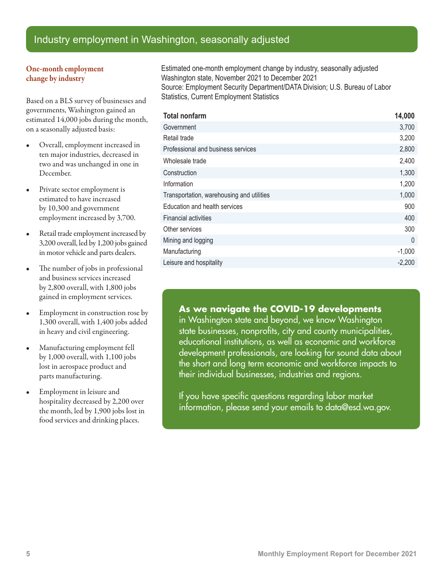### Industry employment in Washington, seasonally adjusted

#### One-month employment change by industry

Based on a BLS survey of businesses and governments, Washington gained an estimated 14,000 jobs during the month, on a seasonally adjusted basis:

- Overall, employment increased in ten major industries, decreased in two and was unchanged in one in December.
- Private sector employment is estimated to have increased by 10,300 and government employment increased by 3,700.
- Retail trade employment increased by 3,200 overall, led by 1,200 jobs gained in motor vehicle and parts dealers.
- The number of jobs in professional and business services increased by 2,800 overall, with 1,800 jobs gained in employment services.
- Employment in construction rose by 1,300 overall, with 1,400 jobs added in heavy and civil engineering.
- Manufacturing employment fell by 1,000 overall, with 1,100 jobs lost in aerospace product and parts manufacturing.
- Employment in leisure and hospitality decreased by 2,200 over the month, led by 1,900 jobs lost in food services and drinking places.

Estimated one-month employment change by industry, seasonally adjusted Washington state, November 2021 to December 2021 Source: Employment Security Department/DATA Division; U.S. Bureau of Labor Statistics, Current Employment Statistics

| <b>Total nonfarm</b>                      | 14,000   |
|-------------------------------------------|----------|
| Government                                | 3,700    |
| Retail trade                              | 3,200    |
| Professional and business services        | 2,800    |
| Wholesale trade                           | 2,400    |
| Construction                              | 1,300    |
| Information                               | 1,200    |
| Transportation, warehousing and utilities | 1,000    |
| Education and health services             | 900      |
| <b>Financial activities</b>               | 400      |
| Other services                            | 300      |
| Mining and logging                        | $\theta$ |
| Manufacturing                             | $-1,000$ |
| Leisure and hospitality                   | $-2,200$ |

#### **As we navigate the COVID-19 developments**

in Washington state and beyond, we know Washington state businesses, nonprofits, city and county municipalities, educational institutions, as well as economic and workforce development professionals, are looking for sound data about the short and long term economic and workforce impacts to their individual businesses, industries and regions.

If you have specific questions regarding labor market information, please send your emails t[o data@esd.wa.gov](mailto:data%40esd.wa.gov?subject=data%40esd.wa.gov).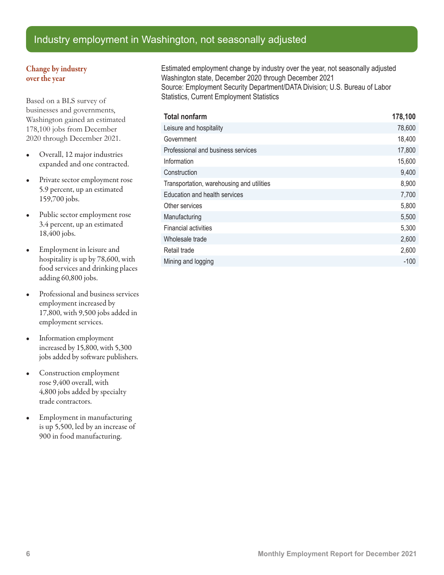### Industry employment in Washington, not seasonally adjusted

#### Change by industry over the year

Based on a BLS survey of businesses and governments, Washington gained an estimated 178,100 jobs from December 2020 through December 2021.

- Overall, 12 major industries expanded and one contracted.
- Private sector employment rose 5.9 percent, up an estimated 159,700 jobs.
- Public sector employment rose 3.4 percent, up an estimated 18,400 jobs.
- Employment in leisure and hospitality is up by 78,600, with food services and drinking places adding 60,800 jobs.
- Professional and business services employment increased by 17,800, with 9,500 jobs added in employment services.
- Information employment increased by 15,800, with 5,300 jobs added by software publishers.
- Construction employment rose 9,400 overall, with 4,800 jobs added by specialty trade contractors.
- Employment in manufacturing is up 5,500, led by an increase of 900 in food manufacturing.

Estimated employment change by industry over the year, not seasonally adjusted Washington state, December 2020 through December 2021 Source: Employment Security Department/DATA Division; U.S. Bureau of Labor Statistics, Current Employment Statistics

| <b>Total nonfarm</b>                      | 178,100 |
|-------------------------------------------|---------|
| Leisure and hospitality                   | 78,600  |
| Government                                | 18,400  |
| Professional and business services        | 17,800  |
| Information                               | 15,600  |
| Construction                              | 9,400   |
| Transportation, warehousing and utilities | 8,900   |
| Education and health services             | 7,700   |
| Other services                            | 5,800   |
| Manufacturing                             | 5,500   |
| <b>Financial activities</b>               | 5,300   |
| Wholesale trade                           | 2,600   |
| Retail trade                              | 2,600   |
| Mining and logging                        | $-100$  |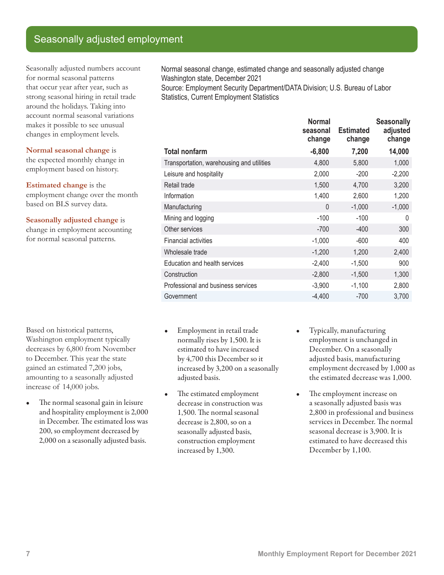### Seasonally adjusted employment

Seasonally adjusted numbers account for normal seasonal patterns that occur year after year, such as strong seasonal hiring in retail trade around the holidays. Taking into account normal seasonal variations makes it possible to see unusual changes in employment levels.

**Normal seasonal change** is the expected monthly change in employment based on history.

**Estimated change** is the employment change over the month based on BLS survey data.

**Seasonally adjusted change** is change in employment accounting for normal seasonal patterns.

Based on historical patterns, Washington employment typically decreases by 6,800 from November to December. This year the state gained an estimated 7,200 jobs, amounting to a seasonally adjusted increase of 14,000 jobs.

• The normal seasonal gain in leisure and hospitality employment is 2,000 in December. The estimated loss was 200, so employment decreased by 2,000 on a seasonally adjusted basis.

Normal seasonal change, estimated change and seasonally adjusted change Washington state, December 2021 Source: Employment Security Department/DATA Division; U.S. Bureau of Labor

Statistics, Current Employment Statistics

|                                           | <b>Normal</b><br>seasonal<br>change | <b>Estimated</b><br>change | <b>Seasonally</b><br>adjusted<br>change |
|-------------------------------------------|-------------------------------------|----------------------------|-----------------------------------------|
| <b>Total nonfarm</b>                      | $-6,800$                            | 7,200                      | 14,000                                  |
| Transportation, warehousing and utilities | 4,800                               | 5,800                      | 1,000                                   |
| Leisure and hospitality                   | 2,000                               | $-200$                     | $-2,200$                                |
| Retail trade                              | 1,500                               | 4,700                      | 3,200                                   |
| Information                               | 1,400                               | 2,600                      | 1,200                                   |
| Manufacturing                             | $\Omega$                            | $-1,000$                   | $-1,000$                                |
| Mining and logging                        | $-100$                              | $-100$                     | 0                                       |
| Other services                            | $-700$                              | $-400$                     | 300                                     |
| <b>Financial activities</b>               | $-1,000$                            | $-600$                     | 400                                     |
| Wholesale trade                           | $-1,200$                            | 1,200                      | 2,400                                   |
| Education and health services             | $-2,400$                            | $-1,500$                   | 900                                     |
| Construction                              | $-2,800$                            | $-1,500$                   | 1,300                                   |
| Professional and business services        | $-3,900$                            | $-1,100$                   | 2,800                                   |
| Government                                | $-4,400$                            | $-700$                     | 3,700                                   |

- Employment in retail trade normally rises by 1,500. It is estimated to have increased by 4,700 this December so it increased by 3,200 on a seasonally adjusted basis.
- The estimated employment decrease in construction was 1,500. The normal seasonal decrease is 2,800, so on a seasonally adjusted basis, construction employment increased by 1,300.
- Typically, manufacturing employment is unchanged in December. On a seasonally adjusted basis, manufacturing employment decreased by 1,000 as the estimated decrease was 1,000.
	- The employment increase on a seasonally adjusted basis was 2,800 in professional and business services in December. The normal seasonal decrease is 3,900. It is estimated to have decreased this December by 1,100.